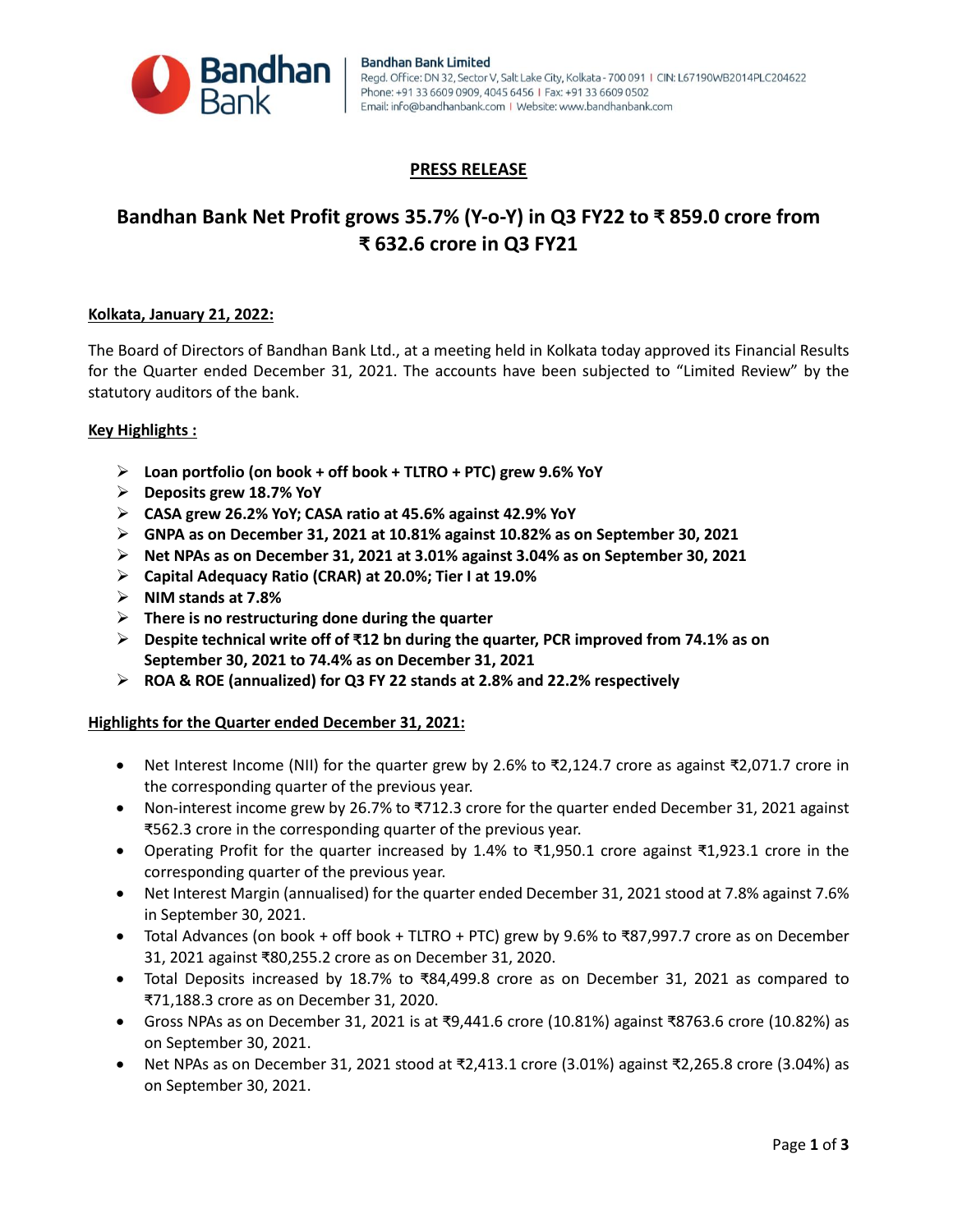

## **PRESS RELEASE**

# **Bandhan Bank Net Profit grows 35.7% (Y-o-Y) in Q3 FY22 to ₹ 859.0 crore from ₹ 632.6 crore in Q3 FY21**

#### **Kolkata, January 21, 2022:**

The Board of Directors of Bandhan Bank Ltd., at a meeting held in Kolkata today approved its Financial Results for the Quarter ended December 31, 2021. The accounts have been subjected to "Limited Review" by the statutory auditors of the bank.

#### **Key Highlights :**

- **Loan portfolio (on book + off book + TLTRO + PTC) grew 9.6% YoY**
- **Deposits grew 18.7% YoY**
- **CASA grew 26.2% YoY; CASA ratio at 45.6% against 42.9% YoY**
- **GNPA as on December 31, 2021 at 10.81% against 10.82% as on September 30, 2021**
- **Net NPAs as on December 31, 2021 at 3.01% against 3.04% as on September 30, 2021**
- **Capital Adequacy Ratio (CRAR) at 20.0%; Tier I at 19.0%**
- **NIM stands at 7.8%**
- **There is no restructuring done during the quarter**
- **Despite technical write off of ₹12 bn during the quarter, PCR improved from 74.1% as on September 30, 2021 to 74.4% as on December 31, 2021**
- **ROA & ROE (annualized) for Q3 FY 22 stands at 2.8% and 22.2% respectively**

## **Highlights for the Quarter ended December 31, 2021:**

- Net Interest Income (NII) for the quarter grew by 2.6% to ₹2,124.7 crore as against ₹2,071.7 crore in the corresponding quarter of the previous year.
- Non-interest income grew by 26.7% to ₹712.3 crore for the quarter ended December 31, 2021 against ₹562.3 crore in the corresponding quarter of the previous year.
- Operating Profit for the quarter increased by 1.4% to ₹1,950.1 crore against ₹1,923.1 crore in the corresponding quarter of the previous year.
- Net Interest Margin (annualised) for the quarter ended December 31, 2021 stood at 7.8% against 7.6% in September 30, 2021.
- Total Advances (on book + off book + TLTRO + PTC) grew by 9.6% to ₹87,997.7 crore as on December 31, 2021 against ₹80,255.2 crore as on December 31, 2020.
- Total Deposits increased by 18.7% to ₹84,499.8 crore as on December 31, 2021 as compared to ₹71,188.3 crore as on December 31, 2020.
- Gross NPAs as on December 31, 2021 is at ₹9,441.6 crore (10.81%) against ₹8763.6 crore (10.82%) as on September 30, 2021.
- Net NPAs as on December 31, 2021 stood at ₹2,413.1 crore (3.01%) against ₹2,265.8 crore (3.04%) as on September 30, 2021.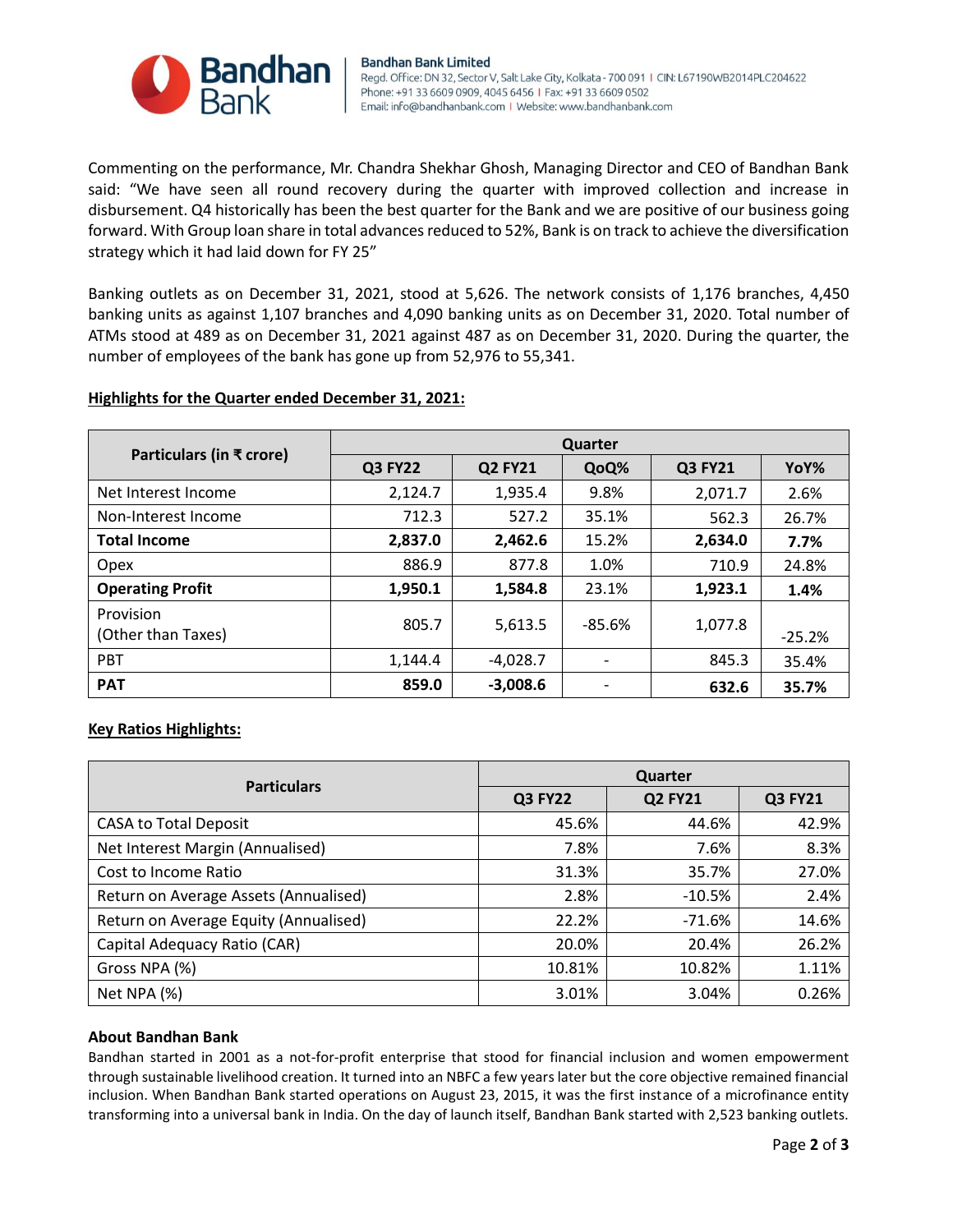

Commenting on the performance, Mr. Chandra Shekhar Ghosh, Managing Director and CEO of Bandhan Bank said: "We have seen all round recovery during the quarter with improved collection and increase in disbursement. Q4 historically has been the best quarter for the Bank and we are positive of our business going forward. With Group loan share in total advances reduced to 52%, Bank is on track to achieve the diversification strategy which it had laid down for FY 25"

Banking outlets as on December 31, 2021, stood at 5,626. The network consists of 1,176 branches, 4,450 banking units as against 1,107 branches and 4,090 banking units as on December 31, 2020. Total number of ATMs stood at 489 as on December 31, 2021 against 487 as on December 31, 2020. During the quarter, the number of employees of the bank has gone up from 52,976 to 55,341.

## **Highlights for the Quarter ended December 31, 2021:**

|                                 | <b>Quarter</b> |                |          |                |          |
|---------------------------------|----------------|----------------|----------|----------------|----------|
| Particulars (in ₹ crore)        | <b>Q3 FY22</b> | <b>Q2 FY21</b> | QoQ%     | <b>Q3 FY21</b> | YoY%     |
| Net Interest Income             | 2,124.7        | 1,935.4        | 9.8%     | 2,071.7        | 2.6%     |
| Non-Interest Income             | 712.3          | 527.2          | 35.1%    | 562.3          | 26.7%    |
| <b>Total Income</b>             | 2,837.0        | 2,462.6        | 15.2%    | 2,634.0        | 7.7%     |
| Opex                            | 886.9          | 877.8          | 1.0%     | 710.9          | 24.8%    |
| <b>Operating Profit</b>         | 1,950.1        | 1,584.8        | 23.1%    | 1,923.1        | 1.4%     |
| Provision<br>(Other than Taxes) | 805.7          | 5,613.5        | $-85.6%$ | 1,077.8        | $-25.2%$ |
| <b>PBT</b>                      | 1,144.4        | $-4,028.7$     |          | 845.3          | 35.4%    |
| <b>PAT</b>                      | 859.0          | $-3,008.6$     |          | 632.6          | 35.7%    |

## **Key Ratios Highlights:**

| <b>Particulars</b>                    | Quarter        |                |                |  |  |
|---------------------------------------|----------------|----------------|----------------|--|--|
|                                       | <b>Q3 FY22</b> | <b>Q2 FY21</b> | <b>Q3 FY21</b> |  |  |
| <b>CASA to Total Deposit</b>          | 45.6%          | 44.6%          | 42.9%          |  |  |
| Net Interest Margin (Annualised)      | 7.8%           | 7.6%           | 8.3%           |  |  |
| Cost to Income Ratio                  | 31.3%          | 35.7%          | 27.0%          |  |  |
| Return on Average Assets (Annualised) | 2.8%           | $-10.5%$       | 2.4%           |  |  |
| Return on Average Equity (Annualised) | 22.2%          | $-71.6\%$      | 14.6%          |  |  |
| Capital Adequacy Ratio (CAR)          | 20.0%          | 20.4%          | 26.2%          |  |  |
| Gross NPA (%)                         | 10.81%         | 10.82%         | 1.11%          |  |  |
| Net NPA (%)                           | 3.01%          | 3.04%          | 0.26%          |  |  |

#### **About Bandhan Bank**

Bandhan started in 2001 as a not-for-profit enterprise that stood for financial inclusion and women empowerment through sustainable livelihood creation. It turned into an NBFC a few years later but the core objective remained financial inclusion. When Bandhan Bank started operations on August 23, 2015, it was the first instance of a microfinance entity transforming into a universal bank in India. On the day of launch itself, Bandhan Bank started with 2,523 banking outlets.